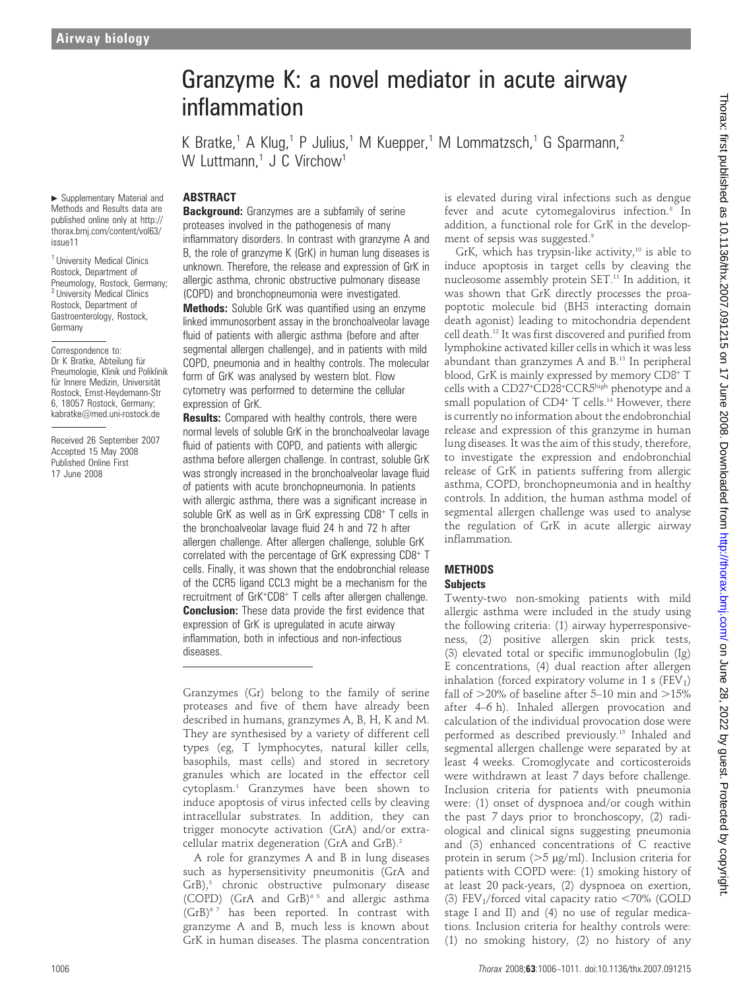#### $\blacktriangleright$  Supplementary Material and Methods and Results data are published online only at http:// thorax.bmj.com/content/vol63/ issue11

<sup>1</sup> University Medical Clinics Rostock, Department of Pneumology, Rostock, Germany; <sup>2</sup> University Medical Clinics Rostock, Department of Gastroenterology, Rostock, Germany

Correspondence to: Dr K Bratke, Abteilung für Pneumologie, Klinik und Poliklinik für Innere Medizin, Universität Rostock, Ernst-Heydemann-Str 6, 18057 Rostock, Germany; kabratke@med.uni-rostock.de

Received 26 September 2007 Accepted 15 May 2008 Published Online First 17 June 2008

# Granzyme K: a novel mediator in acute airway inflammation

K Bratke,<sup>1</sup> A Klug,<sup>1</sup> P Julius,<sup>1</sup> M Kuepper,<sup>1</sup> M Lommatzsch,<sup>1</sup> G Sparmann,<sup>2</sup> W Luttmann.<sup>1</sup> J C Virchow<sup>1</sup>

### ABSTRACT

**Background:** Granzymes are a subfamily of serine proteases involved in the pathogenesis of many inflammatory disorders. In contrast with granzyme A and B, the role of granzyme K (GrK) in human lung diseases is unknown. Therefore, the release and expression of GrK in allergic asthma, chronic obstructive pulmonary disease (COPD) and bronchopneumonia were investigated. Methods: Soluble GrK was quantified using an enzyme linked immunosorbent assay in the bronchoalveolar lavage fluid of patients with allergic asthma (before and after segmental allergen challenge), and in patients with mild COPD, pneumonia and in healthy controls. The molecular form of GrK was analysed by western blot. Flow cytometry was performed to determine the cellular

expression of GrK. **Results:** Compared with healthy controls, there were normal levels of soluble GrK in the bronchoalveolar lavage fluid of patients with COPD, and patients with allergic asthma before allergen challenge. In contrast, soluble GrK was strongly increased in the bronchoalveolar lavage fluid of patients with acute bronchopneumonia. In patients with allergic asthma, there was a significant increase in soluble GrK as well as in GrK expressing CD8<sup>+</sup> T cells in the bronchoalveolar lavage fluid 24 h and 72 h after allergen challenge. After allergen challenge, soluble GrK correlated with the percentage of GrK expressing CD8<sup>+</sup> T cells. Finally, it was shown that the endobronchial release of the CCR5 ligand CCL3 might be a mechanism for the recruitment of GrK<sup>+</sup> CD8<sup>+</sup> T cells after allergen challenge. **Conclusion:** These data provide the first evidence that expression of GrK is upregulated in acute airway inflammation, both in infectious and non-infectious diseases.

Granzymes (Gr) belong to the family of serine proteases and five of them have already been described in humans, granzymes A, B, H, K and M. They are synthesised by a variety of different cell types (eg, T lymphocytes, natural killer cells, basophils, mast cells) and stored in secretory granules which are located in the effector cell cytoplasm.1 Granzymes have been shown to induce apoptosis of virus infected cells by cleaving intracellular substrates. In addition, they can trigger monocyte activation (GrA) and/or extracellular matrix degeneration (GrA and GrB).<sup>2</sup>

A role for granzymes A and B in lung diseases such as hypersensitivity pneumonitis (GrA and GrB),<sup>3</sup> chronic obstructive pulmonary disease (COPD) (GrA and GrB)<sup>45</sup> and allergic asthma  $(GrB)^{67}$  has been reported. In contrast with granzyme A and B, much less is known about GrK in human diseases. The plasma concentration

is elevated during viral infections such as dengue fever and acute cytomegalovirus infection.<sup>8</sup> In addition, a functional role for GrK in the development of sepsis was suggested.9

GrK, which has trypsin-like activity, $10$  is able to induce apoptosis in target cells by cleaving the nucleosome assembly protein SET.11 In addition, it was shown that GrK directly processes the proapoptotic molecule bid (BH3 interacting domain death agonist) leading to mitochondria dependent cell death.12 It was first discovered and purified from lymphokine activated killer cells in which it was less abundant than granzymes A and B.13 In peripheral blood, GrK is mainly expressed by memory CD8<sup>+</sup> T cells with a CD27<sup>+</sup>CD28<sup>+</sup>CCR5high phenotype and a small population of  $CD4+T$  cells.<sup>14</sup> However, there is currently no information about the endobronchial release and expression of this granzyme in human lung diseases. It was the aim of this study, therefore, to investigate the expression and endobronchial release of GrK in patients suffering from allergic asthma, COPD, bronchopneumonia and in healthy controls. In addition, the human asthma model of segmental allergen challenge was used to analyse the regulation of GrK in acute allergic airway inflammation.

#### **METHODS**

#### **Subjects**

Twenty-two non-smoking patients with mild allergic asthma were included in the study using the following criteria: (1) airway hyperresponsiveness, (2) positive allergen skin prick tests, (3) elevated total or specific immunoglobulin (Ig) E concentrations, (4) dual reaction after allergen inhalation (forced expiratory volume in 1 s  $(FEV_1)$ ) fall of  $>$ 20% of baseline after 5–10 min and  $>$ 15% after 4–6 h). Inhaled allergen provocation and calculation of the individual provocation dose were performed as described previously.15 Inhaled and segmental allergen challenge were separated by at least 4 weeks. Cromoglycate and corticosteroids were withdrawn at least 7 days before challenge. Inclusion criteria for patients with pneumonia were: (1) onset of dyspnoea and/or cough within the past 7 days prior to bronchoscopy, (2) radiological and clinical signs suggesting pneumonia and (3) enhanced concentrations of C reactive protein in serum ( $>5 \mu g/ml$ ). Inclusion criteria for patients with COPD were: (1) smoking history of at least 20 pack-years, (2) dyspnoea on exertion, (3) FEV<sub>1</sub>/forced vital capacity ratio  $<$  70% (GOLD stage I and II) and (4) no use of regular medications. Inclusion criteria for healthy controls were: (1) no smoking history, (2) no history of any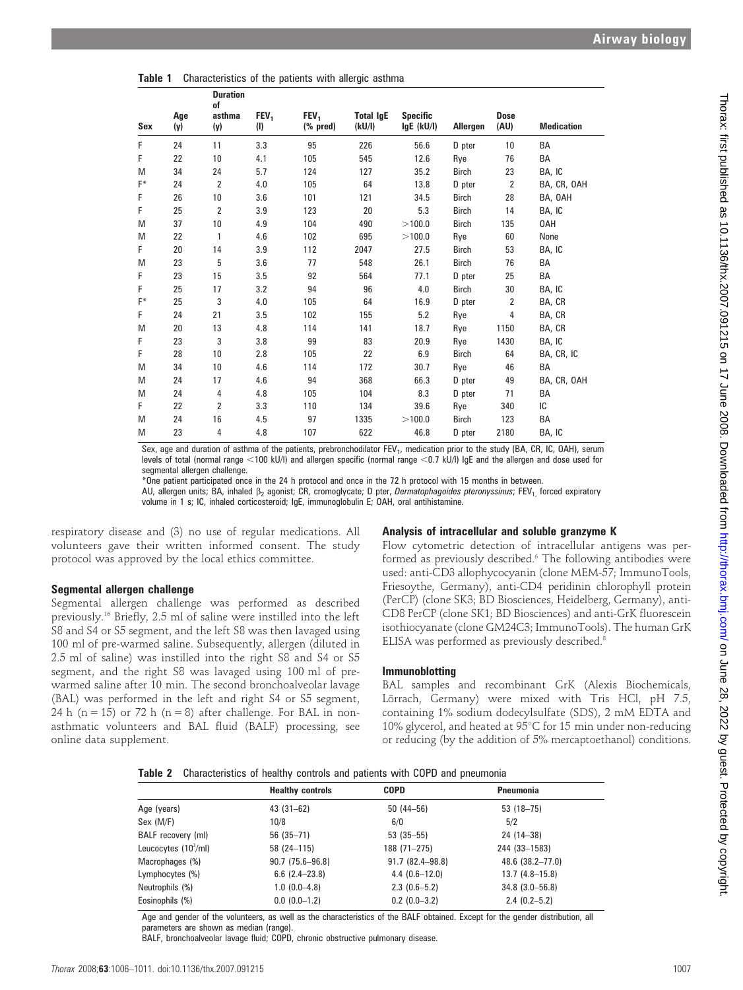| <b>Sex</b> | Age<br>(y) | <b>Duration</b><br>of<br>asthma<br>(y) | FEV <sub>1</sub><br>(1) | FEV <sub>1</sub><br>$(% \mathbf{p}^{\prime }\mathbf{q})$ (% pred) | <b>Total IgE</b><br>(kU/I) | <b>Specific</b><br>$lgE$ (kU/l) | Allergen     | <b>Dose</b><br>(AU) | <b>Medication</b> |
|------------|------------|----------------------------------------|-------------------------|-------------------------------------------------------------------|----------------------------|---------------------------------|--------------|---------------------|-------------------|
| F          | 24         | 11                                     | 3.3                     | 95                                                                | 226                        | 56.6                            | D pter       | 10                  | BA                |
| F          | 22         | 10                                     | 4.1                     | 105                                                               | 545                        | 12.6                            | Rye          | 76                  | BA                |
| M          | 34         | 24                                     | 5.7                     | 124                                                               | 127                        | 35.2                            | Birch        | 23                  | BA, IC            |
| F*         | 24         | 2                                      | 4.0                     | 105                                                               | 64                         | 13.8                            | D pter       | $\overline{2}$      | BA, CR, OAH       |
| F          | 26         | 10                                     | 3.6                     | 101                                                               | 121                        | 34.5                            | <b>Birch</b> | 28                  | BA, OAH           |
| F          | 25         | 2                                      | 3.9                     | 123                                                               | 20                         | 5.3                             | <b>Birch</b> | 14                  | BA, IC            |
| M          | 37         | 10                                     | 4.9                     | 104                                                               | 490                        | >100.0                          | <b>Birch</b> | 135                 | 0AH               |
| M          | 22         | 1                                      | 4.6                     | 102                                                               | 695                        | >100.0                          | Rye          | 60                  | None              |
| F          | 20         | 14                                     | 3.9                     | 112                                                               | 2047                       | 27.5                            | <b>Birch</b> | 53                  | BA, IC            |
| M          | 23         | 5                                      | 3.6                     | 77                                                                | 548                        | 26.1                            | <b>Birch</b> | 76                  | BA                |
| F          | 23         | 15                                     | 3.5                     | 92                                                                | 564                        | 77.1                            | D pter       | 25                  | BA                |
| F          | 25         | 17                                     | 3.2                     | 94                                                                | 96                         | 4.0                             | <b>Birch</b> | 30                  | BA, IC            |
| F*         | 25         | 3                                      | 4.0                     | 105                                                               | 64                         | 16.9                            | D pter       | $\overline{2}$      | BA, CR            |
| F          | 24         | 21                                     | 3.5                     | 102                                                               | 155                        | 5.2                             | Rye          | 4                   | BA, CR            |
| M          | 20         | 13                                     | 4.8                     | 114                                                               | 141                        | 18.7                            | Rye          | 1150                | BA, CR            |
| F          | 23         | 3                                      | 3.8                     | 99                                                                | 83                         | 20.9                            | Rye          | 1430                | BA, IC            |
| F          | 28         | 10                                     | 2.8                     | 105                                                               | 22                         | 6.9                             | <b>Birch</b> | 64                  | BA, CR, IC        |
| M          | 34         | 10                                     | 4.6                     | 114                                                               | 172                        | 30.7                            | Rye          | 46                  | BA                |
| M          | 24         | 17                                     | 4.6                     | 94                                                                | 368                        | 66.3                            | D pter       | 49                  | BA, CR, OAH       |
| M          | 24         | 4                                      | 4.8                     | 105                                                               | 104                        | 8.3                             | D pter       | 71                  | BA                |
| F          | 22         | 2                                      | 3.3                     | 110                                                               | 134                        | 39.6                            | Rye          | 340                 | IC                |
| M          | 24         | 16                                     | 4.5                     | 97                                                                | 1335                       | >100.0                          | <b>Birch</b> | 123                 | BA                |
| M          | 23         | 4                                      | 4.8                     | 107                                                               | 622                        | 46.8                            | D pter       | 2180                | BA, IC            |

Sex, age and duration of asthma of the patients, prebronchodilator FEV<sub>1</sub>, medication prior to the study (BA, CR, IC, OAH), serum levels of total (normal range <100 kU/l) and allergen specific (normal range <0.7 kU/l) IgE and the allergen and dose used for segmental allergen challenge.

\*One patient participated once in the 24 h protocol and once in the 72 h protocol with 15 months in between.

AU, allergen units; BA, inhaled  $\beta_2$  agonist; CR, cromoglycate; D pter, Dermatophagoides pteronyssinus; FEV<sub>1</sub> forced expiratory volume in 1 s; IC, inhaled corticosteroid; IgE, immunoglobulin E; OAH, oral antihistamine.

respiratory disease and (3) no use of regular medications. All volunteers gave their written informed consent. The study protocol was approved by the local ethics committee.

#### Segmental allergen challenge

Segmental allergen challenge was performed as described previously.16 Briefly, 2.5 ml of saline were instilled into the left S8 and S4 or S5 segment, and the left S8 was then lavaged using 100 ml of pre-warmed saline. Subsequently, allergen (diluted in 2.5 ml of saline) was instilled into the right S8 and S4 or S5 segment, and the right S8 was lavaged using 100 ml of prewarmed saline after 10 min. The second bronchoalveolar lavage (BAL) was performed in the left and right S4 or S5 segment, 24 h (n = 15) or 72 h (n = 8) after challenge. For BAL in nonasthmatic volunteers and BAL fluid (BALF) processing, see online data supplement.

#### Analysis of intracellular and soluble granzyme K

Flow cytometric detection of intracellular antigens was performed as previously described.<sup>6</sup> The following antibodies were used: anti-CD3 allophycocyanin (clone MEM-57; ImmunoTools, Friesoythe, Germany), anti-CD4 peridinin chlorophyll protein (PerCP) (clone SK3; BD Biosciences, Heidelberg, Germany), anti-CD8 PerCP (clone SK1; BD Biosciences) and anti-GrK fluorescein isothiocyanate (clone GM24C3; ImmunoTools). The human GrK ELISA was performed as previously described.<sup>8</sup>

#### Immunoblotting

BAL samples and recombinant GrK (Alexis Biochemicals, Lörrach, Germany) were mixed with Tris HCl, pH 7.5, containing 1% sodium dodecylsulfate (SDS), 2 mM EDTA and 10% glycerol, and heated at  $95^{\circ}$ C for 15 min under non-reducing or reducing (by the addition of 5% mercaptoethanol) conditions.

|  | Table 2 Characteristics of healthy controls and patients with COPD and pneumonia |  |  |  |  |  |  |  |  |  |
|--|----------------------------------------------------------------------------------|--|--|--|--|--|--|--|--|--|
|--|----------------------------------------------------------------------------------|--|--|--|--|--|--|--|--|--|

|                       | <b>Healthy controls</b> | <b>COPD</b>         | <b>Pneumonia</b>      |
|-----------------------|-------------------------|---------------------|-----------------------|
| Age (years)           | $43(31-62)$             | $50(44 - 56)$       | $53(18-75)$           |
| Sex (M/F)             | 10/8                    | 6/0                 | 5/2                   |
| BALF recovery (ml)    | $56(35-71)$             | $53(35 - 55)$       | 24 (14-38)            |
| Leucocytes $(103/ml)$ | $58(24 - 115)$          | 188 (71-275)        | 244 (33-1583)         |
| Macrophages (%)       | $90.7(75.6 - 96.8)$     | $91.7(82.4 - 98.8)$ | 48.6 (38.2-77.0)      |
| Lymphocytes (%)       | $6.6$ $(2.4-23.8)$      | $4.4(0.6-12.0)$     | $13.7(4.8-15.8)$      |
| Neutrophils (%)       | $1.0(0.0-4.8)$          | $2.3(0.6-5.2)$      | $34.8$ $(3.0 - 56.8)$ |
| Eosinophils (%)       | $0.0 (0.0 - 1.2)$       | $0.2$ (0.0-3.2)     | $2.4(0.2-5.2)$        |
|                       |                         |                     |                       |

Age and gender of the volunteers, as well as the characteristics of the BALF obtained. Except for the gender distribution, all parameters are shown as median (range).

BALF, bronchoalveolar lavage fluid; COPD, chronic obstructive pulmonary disease.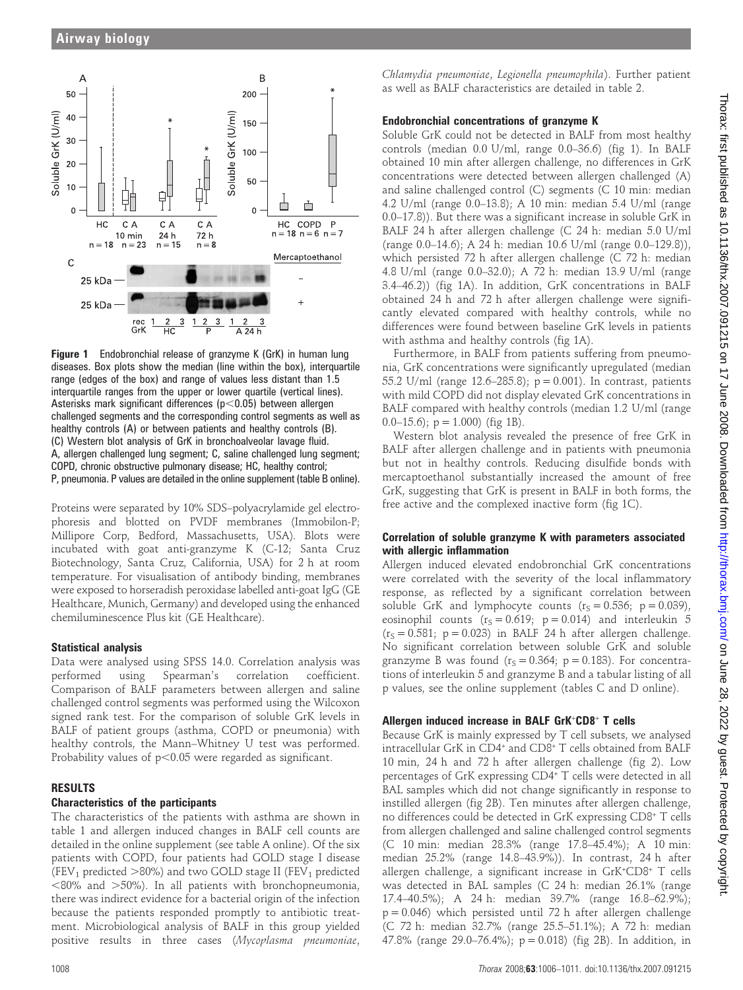

Figure 1 Endobronchial release of granzyme K (GrK) in human lung diseases. Box plots show the median (line within the box), interquartile range (edges of the box) and range of values less distant than 1.5 interquartile ranges from the upper or lower quartile (vertical lines). Asterisks mark significant differences ( $p$ <0.05) between allergen challenged segments and the corresponding control segments as well as healthy controls (A) or between patients and healthy controls (B). (C) Western blot analysis of GrK in bronchoalveolar lavage fluid. A, allergen challenged lung segment; C, saline challenged lung segment; COPD, chronic obstructive pulmonary disease; HC, healthy control; P, pneumonia. P values are detailed in the online supplement (table B online).

Proteins were separated by 10% SDS–polyacrylamide gel electrophoresis and blotted on PVDF membranes (Immobilon-P; Millipore Corp, Bedford, Massachusetts, USA). Blots were incubated with goat anti-granzyme K (C-12; Santa Cruz Biotechnology, Santa Cruz, California, USA) for 2 h at room temperature. For visualisation of antibody binding, membranes were exposed to horseradish peroxidase labelled anti-goat IgG (GE Healthcare, Munich, Germany) and developed using the enhanced chemiluminescence Plus kit (GE Healthcare).

#### Statistical analysis

Data were analysed using SPSS 14.0. Correlation analysis was performed using Spearman's correlation coefficient. Comparison of BALF parameters between allergen and saline challenged control segments was performed using the Wilcoxon signed rank test. For the comparison of soluble GrK levels in BALF of patient groups (asthma, COPD or pneumonia) with healthy controls, the Mann–Whitney U test was performed. Probability values of  $p<0.05$  were regarded as significant.

#### RESULTS

#### Characteristics of the participants

The characteristics of the patients with asthma are shown in table 1 and allergen induced changes in BALF cell counts are detailed in the online supplement (see table A online). Of the six patients with COPD, four patients had GOLD stage I disease (FEV<sub>1</sub> predicted  $>80\%$ ) and two GOLD stage II (FEV<sub>1</sub> predicted  $<$ 80% and  $>$ 50%). In all patients with bronchopneumonia, there was indirect evidence for a bacterial origin of the infection because the patients responded promptly to antibiotic treatment. Microbiological analysis of BALF in this group yielded positive results in three cases (Mycoplasma pneumoniae,

Chlamydia pneumoniae, Legionella pneumophila). Further patient as well as BALF characteristics are detailed in table 2.

#### Endobronchial concentrations of granzyme K

Soluble GrK could not be detected in BALF from most healthy controls (median 0.0 U/ml, range 0.0–36.6) (fig 1). In BALF obtained 10 min after allergen challenge, no differences in GrK concentrations were detected between allergen challenged (A) and saline challenged control (C) segments (C 10 min: median 4.2 U/ml (range 0.0–13.8); A 10 min: median 5.4 U/ml (range 0.0–17.8)). But there was a significant increase in soluble GrK in BALF 24 h after allergen challenge (C 24 h: median 5.0 U/ml (range 0.0–14.6); A 24 h: median 10.6 U/ml (range 0.0–129.8)), which persisted 72 h after allergen challenge (C 72 h: median 4.8 U/ml (range 0.0–32.0); A 72 h: median 13.9 U/ml (range 3.4–46.2)) (fig 1A). In addition, GrK concentrations in BALF obtained 24 h and 72 h after allergen challenge were significantly elevated compared with healthy controls, while no differences were found between baseline GrK levels in patients with asthma and healthy controls (fig 1A).

Furthermore, in BALF from patients suffering from pneumonia, GrK concentrations were significantly upregulated (median 55.2 U/ml (range 12.6–285.8); p = 0.001). In contrast, patients with mild COPD did not display elevated GrK concentrations in BALF compared with healthy controls (median 1.2 U/ml (range 0.0–15.6);  $p = 1.000$  (fig 1B).

Western blot analysis revealed the presence of free GrK in BALF after allergen challenge and in patients with pneumonia but not in healthy controls. Reducing disulfide bonds with mercaptoethanol substantially increased the amount of free GrK, suggesting that GrK is present in BALF in both forms, the free active and the complexed inactive form (fig 1C).

#### Correlation of soluble granzyme K with parameters associated with allergic inflammation

Allergen induced elevated endobronchial GrK concentrations were correlated with the severity of the local inflammatory response, as reflected by a significant correlation between soluble GrK and lymphocyte counts  $(r<sub>S</sub> = 0.536; p = 0.039)$ , eosinophil counts ( $r_s = 0.619$ ;  $p = 0.014$ ) and interleukin 5  $(r<sub>S</sub> = 0.581; p = 0.023)$  in BALF 24 h after allergen challenge. No significant correlation between soluble GrK and soluble granzyme B was found ( $r_S = 0.364$ ;  $p = 0.183$ ). For concentrations of interleukin 5 and granzyme B and a tabular listing of all p values, see the online supplement (tables C and D online).

#### Allergen induced increase in BALF GrK+CD8+ T cells

Because GrK is mainly expressed by T cell subsets, we analysed intracellular GrK in CD4<sup>+</sup> and CD8<sup>+</sup> T cells obtained from BALF 10 min, 24 h and 72 h after allergen challenge (fig 2). Low percentages of GrK expressing CD4<sup>+</sup> T cells were detected in all BAL samples which did not change significantly in response to instilled allergen (fig 2B). Ten minutes after allergen challenge, no differences could be detected in GrK expressing CD8<sup>+</sup> T cells from allergen challenged and saline challenged control segments (C 10 min: median 28.3% (range 17.8–45.4%); A 10 min: median 25.2% (range 14.8–43.9%)). In contrast, 24 h after allergen challenge, a significant increase in GrK<sup>+</sup> CD8<sup>+</sup> T cells was detected in BAL samples (C 24 h: median 26.1% (range 17.4–40.5%); A 24 h: median 39.7% (range 16.8–62.9%);  $p = 0.046$ ) which persisted until 72 h after allergen challenge (C 72 h: median 32.7% (range 25.5–51.1%); A 72 h: median 47.8% (range 29.0–76.4%); p = 0.018) (fig 2B). In addition, in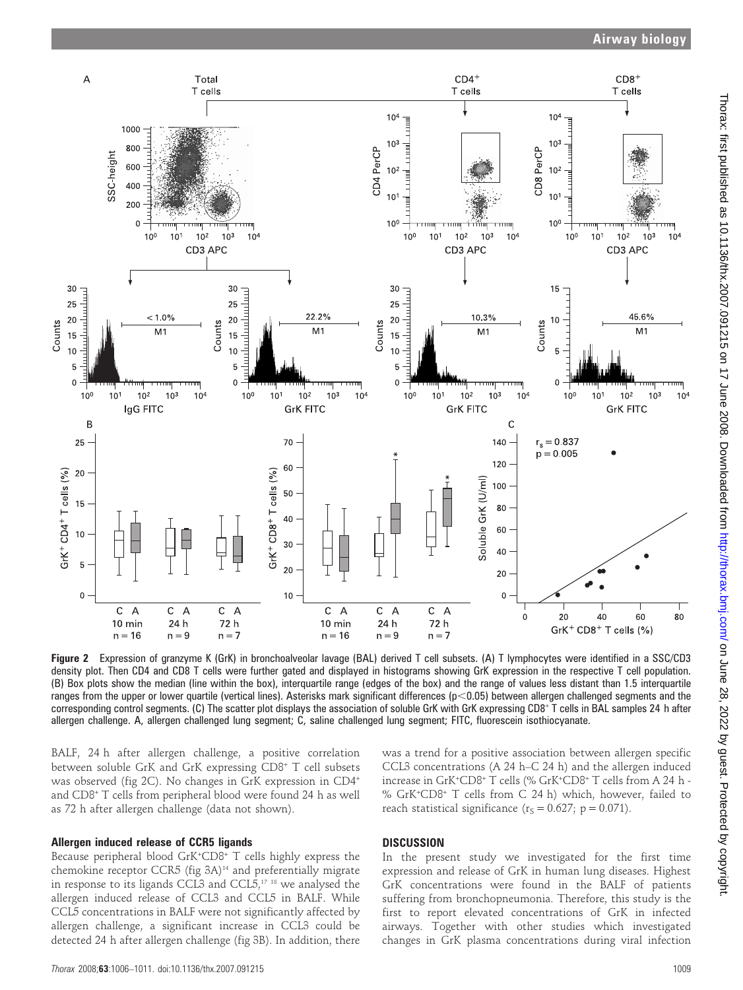

Figure 2 Expression of granzyme K (GrK) in bronchoalveolar lavage (BAL) derived T cell subsets. (A) T lymphocytes were identified in a SSC/CD3 density plot. Then CD4 and CD8 T cells were further gated and displayed in histograms showing GrK expression in the respective T cell population. (B) Box plots show the median (line within the box), interquartile range (edges of the box) and the range of values less distant than 1.5 interquartile ranges from the upper or lower quartile (vertical lines). Asterisks mark significant differences  $(p<0.05)$  between allergen challenged segments and the corresponding control segments. (C) The scatter plot displays the association of soluble GrK with GrK expressing CD8<sup>+</sup> T cells in BAL samples 24 h after allergen challenge. A, allergen challenged lung segment; C, saline challenged lung segment; FITC, fluorescein isothiocyanate.

BALF, 24 h after allergen challenge, a positive correlation between soluble GrK and GrK expressing CD8<sup>+</sup> T cell subsets was observed (fig 2C). No changes in GrK expression in CD4<sup>+</sup> and CD8<sup>+</sup> T cells from peripheral blood were found 24 h as well as 72 h after allergen challenge (data not shown).

#### Allergen induced release of CCR5 ligands

Because peripheral blood GrK<sup>+</sup> CD8<sup>+</sup> T cells highly express the chemokine receptor CCR5 (fig 3A)<sup>14</sup> and preferentially migrate in response to its ligands CCL3 and CCL5,<sup>17 18</sup> we analysed the allergen induced release of CCL3 and CCL5 in BALF. While CCL5 concentrations in BALF were not significantly affected by allergen challenge, a significant increase in CCL3 could be detected 24 h after allergen challenge (fig 3B). In addition, there was a trend for a positive association between allergen specific CCL3 concentrations (A 24 h–C 24 h) and the allergen induced increase in GrK<sup>+</sup> CD8<sup>+</sup> T cells (% GrK<sup>+</sup> CD8<sup>+</sup> T cells from A 24 h - % GrK<sup>+</sup> CD8<sup>+</sup> T cells from C 24 h) which, however, failed to reach statistical significance ( $r_S = 0.627$ ; p = 0.071).

#### **DISCUSSION**

In the present study we investigated for the first time expression and release of GrK in human lung diseases. Highest GrK concentrations were found in the BALF of patients suffering from bronchopneumonia. Therefore, this study is the first to report elevated concentrations of GrK in infected airways. Together with other studies which investigated changes in GrK plasma concentrations during viral infection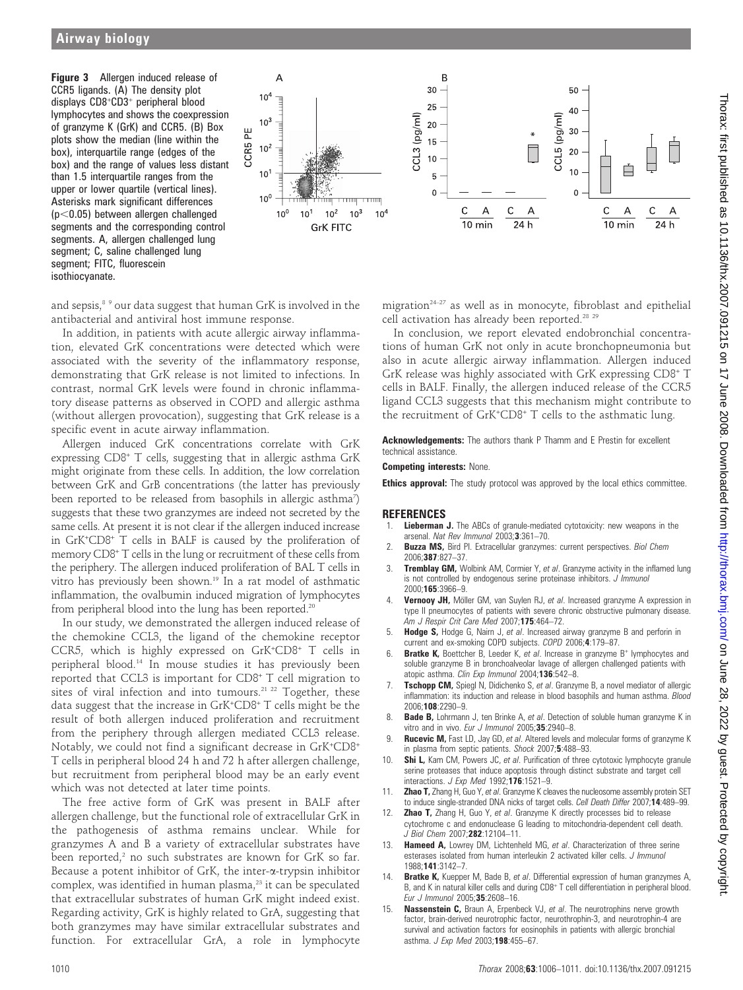Figure 3 Allergen induced release of CCR5 ligands. (A) The density plot displays CD8<sup>+</sup> CD3<sup>+</sup> peripheral blood lymphocytes and shows the coexpression of granzyme K (GrK) and CCR5. (B) Box plots show the median (line within the box), interquartile range (edges of the box) and the range of values less distant than 1.5 interquartile ranges from the upper or lower quartile (vertical lines). Asterisks mark significant differences  $(p<0.05)$  between allergen challenged segments and the corresponding control segments. A, allergen challenged lung segment; C, saline challenged lung segment; FITC, fluorescein isothiocyanate.



and sepsis,<sup>8 9</sup> our data suggest that human GrK is involved in the antibacterial and antiviral host immune response.

In addition, in patients with acute allergic airway inflammation, elevated GrK concentrations were detected which were associated with the severity of the inflammatory response, demonstrating that GrK release is not limited to infections. In contrast, normal GrK levels were found in chronic inflammatory disease patterns as observed in COPD and allergic asthma (without allergen provocation), suggesting that GrK release is a specific event in acute airway inflammation.

Allergen induced GrK concentrations correlate with GrK expressing CD8<sup>+</sup> T cells, suggesting that in allergic asthma GrK might originate from these cells. In addition, the low correlation between GrK and GrB concentrations (the latter has previously been reported to be released from basophils in allergic asthma<sup>7</sup>) suggests that these two granzymes are indeed not secreted by the same cells. At present it is not clear if the allergen induced increase in GrK<sup>+</sup> CD8<sup>+</sup> T cells in BALF is caused by the proliferation of memory CD8<sup>+</sup> T cells in the lung or recruitment of these cells from the periphery. The allergen induced proliferation of BAL T cells in vitro has previously been shown.19 In a rat model of asthmatic inflammation, the ovalbumin induced migration of lymphocytes from peripheral blood into the lung has been reported.<sup>20</sup>

In our study, we demonstrated the allergen induced release of the chemokine CCL3, the ligand of the chemokine receptor CCR5, which is highly expressed on GrK<sup>+</sup> CD8<sup>+</sup> T cells in peripheral blood.14 In mouse studies it has previously been reported that CCL3 is important for CD8<sup>+</sup> T cell migration to sites of viral infection and into tumours.<sup>21 22</sup> Together, these data suggest that the increase in GrK<sup>+</sup> CD8<sup>+</sup> T cells might be the result of both allergen induced proliferation and recruitment from the periphery through allergen mediated CCL3 release. Notably, we could not find a significant decrease in GrK<sup>+</sup> CD8<sup>+</sup> T cells in peripheral blood 24 h and 72 h after allergen challenge, but recruitment from peripheral blood may be an early event which was not detected at later time points.

The free active form of GrK was present in BALF after allergen challenge, but the functional role of extracellular GrK in the pathogenesis of asthma remains unclear. While for granzymes A and B a variety of extracellular substrates have been reported, $2$  no such substrates are known for GrK so far. Because a potent inhibitor of GrK, the inter-a-trypsin inhibitor complex, was identified in human plasma,<sup>23</sup> it can be speculated that extracellular substrates of human GrK might indeed exist. Regarding activity, GrK is highly related to GrA, suggesting that both granzymes may have similar extracellular substrates and function. For extracellular GrA, a role in lymphocyte

migration $24-27$  as well as in monocyte, fibroblast and epithelial cell activation has already been reported.28 29

In conclusion, we report elevated endobronchial concentrations of human GrK not only in acute bronchopneumonia but also in acute allergic airway inflammation. Allergen induced GrK release was highly associated with GrK expressing CD8<sup>+</sup> T cells in BALF. Finally, the allergen induced release of the CCR5 ligand CCL3 suggests that this mechanism might contribute to the recruitment of GrK<sup>+</sup> CD8<sup>+</sup> T cells to the asthmatic lung.

Acknowledgements: The authors thank P Thamm and E Prestin for excellent technical assistance.

#### Competing interests: None.

**Ethics approval:** The study protocol was approved by the local ethics committee.

#### **REFERENCES**

- Lieberman J. The ABCs of granule-mediated cytotoxicity: new weapons in the arsenal. Nat Rev Immunol 2003;3:361-70.
- Buzza MS, Bird Pl. Extracellular granzymes: current perspectives. Biol Chem 2006;387:827–37.
- 3. **Tremblay GM,** Wolbink AM, Cormier Y, et al. Granzyme activity in the inflamed lung is not controlled by endogenous serine proteinase inhibitors. J Immunol 2000;165:3966–9.
- Vernooy JH, Möller GM, van Suylen RJ, et al. Increased granzyme A expression in type II pneumocytes of patients with severe chronic obstructive pulmonary disease. Am J Respir Crit Care Med 2007;175:464-72.
- 5. Hodge S, Hodge G, Nairn J, et al. Increased airway granzyme B and perforin in current and ex-smoking COPD subjects. COPD 2006;4:179–87.
- **Bratke K,** Boettcher B, Leeder K, et al. Increase in granzyme B+ lymphocytes and soluble granzyme B in bronchoalveolar lavage of allergen challenged patients with atopic asthma. Clin Exp Immunol 2004;136:542-8.
- 7. Tschopp CM, Spiegl N, Didichenko S, et al. Granzyme B, a novel mediator of allergic inflammation: its induction and release in blood basophils and human asthma. Blood 2006;108:2290–9.
- 8. Bade B, Lohrmann J, ten Brinke A, et al. Detection of soluble human granzyme K in vitro and in vivo. Eur J Immunol 2005;35:2940-8.
- Rucevic M, Fast LD, Jay GD, et al. Altered levels and molecular forms of granzyme K in plasma from septic patients. Shock 2007;5:488-93.
- 10. Shi L, Kam CM, Powers JC, et al. Purification of three cytotoxic lymphocyte granule serine proteases that induce apoptosis through distinct substrate and target cell interactions. J Exp Med 1992;176:1521–9.
- 11. **Zhao T,** Zhang H, Guo Y, et al. Granzyme K cleaves the nucleosome assembly protein SET to induce single-stranded DNA nicks of target cells. Cell Death Differ 2007;14:489–99.
- 12. **Zhao T,** Zhang H, Guo Y, et al. Granzyme K directly processes bid to release cytochrome c and endonuclease G leading to mitochondria-dependent cell death. J Biol Chem 2007;282:12104–11.
- 13. **Hameed A,** Lowrey DM, Lichtenheld MG, et al. Characterization of three serine esterases isolated from human interleukin 2 activated killer cells. J Immunol 1988;141:3142–7.
- Bratke K, Kuepper M, Bade B, et al. Differential expression of human granzymes A, B, and K in natural killer cells and during CD8<sup>+</sup> T cell differentiation in peripheral blood. Eur J Immunol 2005;35:2608–16.
- 15. Nassenstein C, Braun A, Erpenbeck VJ, et al. The neurotrophins nerve growth factor, brain-derived neurotrophic factor, neurothrophin-3, and neurotrophin-4 are survival and activation factors for eosinophils in patients with allergic bronchial asthma. J Exp Med 2003;198:455-67.